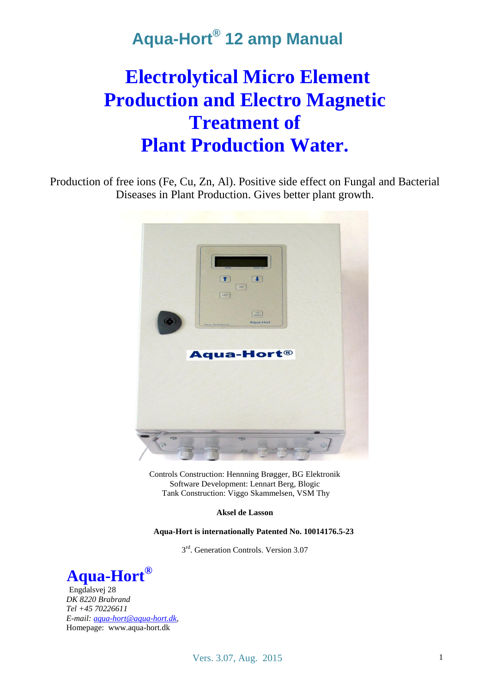# **Electrolytical Micro Element Production and Electro Magnetic Treatment of Plant Production Water.**

Production of free ions (Fe, Cu, Zn, Al). Positive side effect on Fungal and Bacterial Diseases in Plant Production. Gives better plant growth.



Controls Construction: Hennning Brøgger, BG Elektronik Software Development: Lennart Berg, Blogic Tank Construction: Viggo Skammelsen, VSM Thy

**Aksel de Lasson**

**Aqua-Hort is internationally Patented No. 10014176.5-23**

3<sup>rd</sup>. Generation Controls. Version 3.07



Engdalsvej 28 *DK 8220 Brabrand Tel +45 70226611 E-mail[: aqua-hort@aqua-hort.dk,](mailto:aqua-hort@aqua-hort.dk)*  Homepage: www.aqua-hort.dk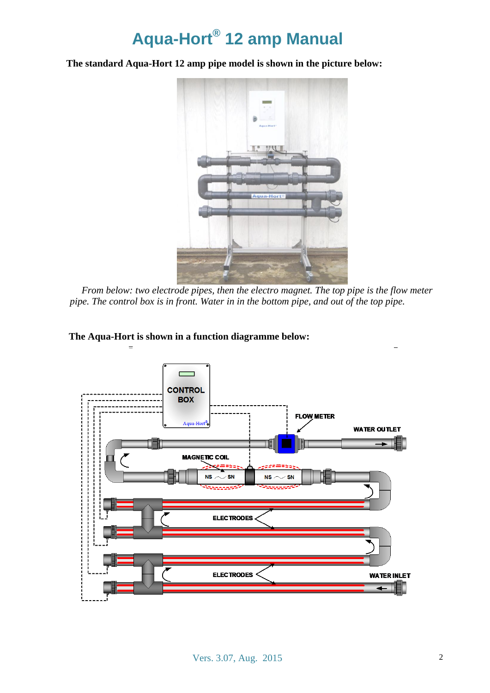**The standard Aqua-Hort 12 amp pipe model is shown in the picture below:**



*From below: two electrode pipes, then the electro magnet. The top pipe is the flow meter pipe. The control box is in front. Water in in the bottom pipe, and out of the top pipe.*



**The Aqua-Hort is shown in a function diagramme below:**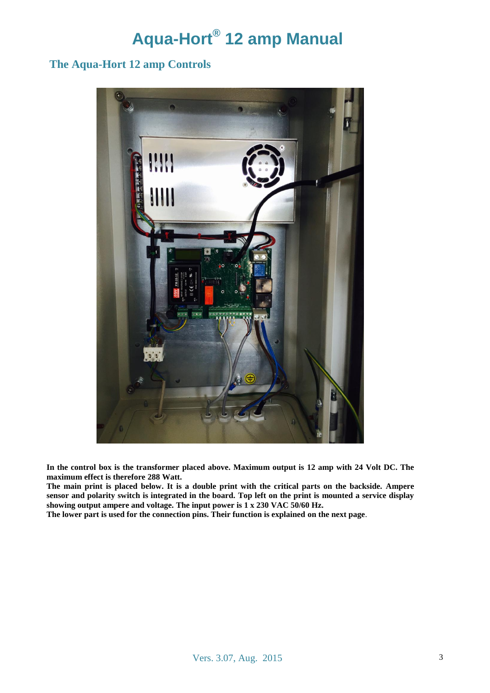### **The Aqua-Hort 12 amp Controls**



**In the control box is the transformer placed above. Maximum output is 12 amp with 24 Volt DC. The maximum effect is therefore 288 Watt.** 

**The main print is placed below. It is a double print with the critical parts on the backside. Ampere sensor and polarity switch is integrated in the board. Top left on the print is mounted a service display showing output ampere and voltage. The input power is 1 x 230 VAC 50/60 Hz.**

**The lower part is used for the connection pins. Their function is explained on the next page**.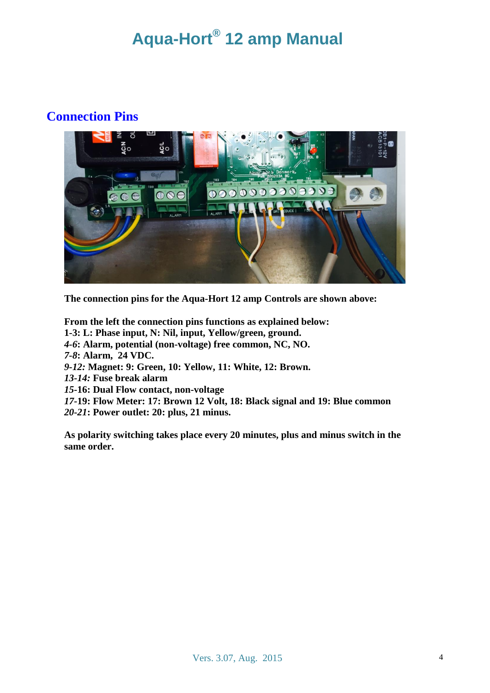### **Connection Pins**



**The connection pins for the Aqua-Hort 12 amp Controls are shown above:**

**From the left the connection pins functions as explained below: 1-3: L: Phase input, N: Nil, input, Yellow/green, ground.** *4-6***: Alarm, potential (non-voltage) free common, NC, NO.** *7-8***: Alarm, 24 VDC.** *9-12:* **Magnet: 9: Green, 10: Yellow, 11: White, 12: Brown.** *13-14:* **Fuse break alarm** *15-***16: Dual Flow contact, non-voltage** *17-***19: Flow Meter: 17: Brown 12 Volt, 18: Black signal and 19: Blue common** *20-21***: Power outlet: 20: plus, 21 minus.** 

**As polarity switching takes place every 20 minutes, plus and minus switch in the same order.**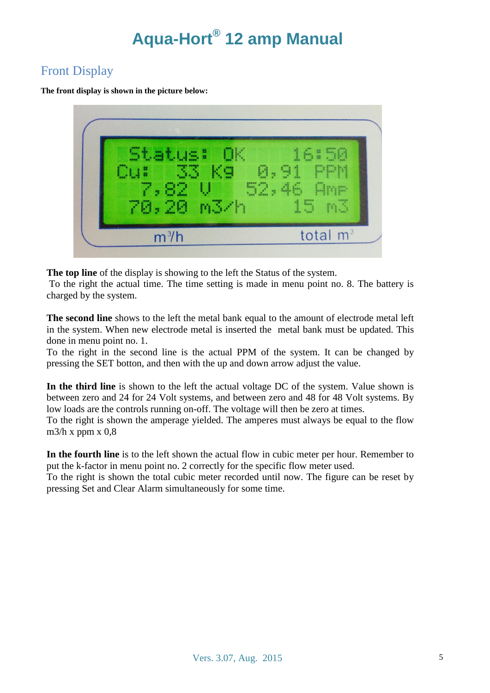### Front Display

**The front display is shown in the picture below:**



**The top line** of the display is showing to the left the Status of the system.

To the right the actual time. The time setting is made in menu point no. 8. The battery is charged by the system.

**The second line** shows to the left the metal bank equal to the amount of electrode metal left in the system. When new electrode metal is inserted the metal bank must be updated. This done in menu point no. 1.

To the right in the second line is the actual PPM of the system. It can be changed by pressing the SET botton, and then with the up and down arrow adjust the value.

**In the third line** is shown to the left the actual voltage DC of the system. Value shown is between zero and 24 for 24 Volt systems, and between zero and 48 for 48 Volt systems. By low loads are the controls running on-off. The voltage will then be zero at times.

To the right is shown the amperage yielded. The amperes must always be equal to the flow m $3/h$  x ppm x 0.8

**In the fourth line** is to the left shown the actual flow in cubic meter per hour. Remember to put the k-factor in menu point no. 2 correctly for the specific flow meter used.

To the right is shown the total cubic meter recorded until now. The figure can be reset by pressing Set and Clear Alarm simultaneously for some time.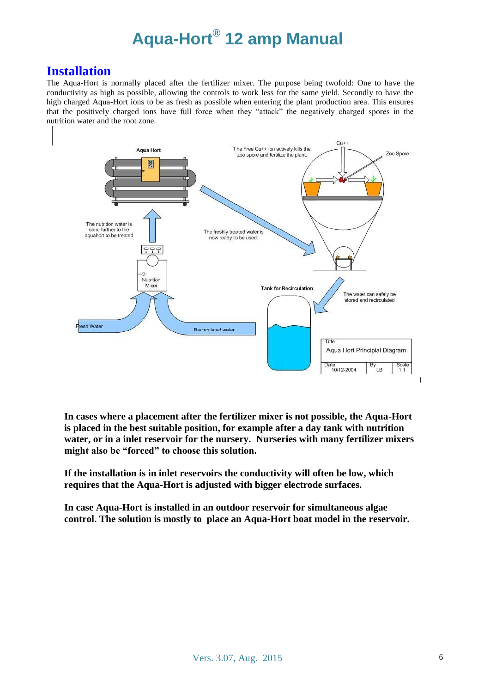### **Installation**

The Aqua-Hort is normally placed after the fertilizer mixer. The purpose being twofold: One to have the conductivity as high as possible, allowing the controls to work less for the same yield. Secondly to have the high charged Aqua-Hort ions to be as fresh as possible when entering the plant production area. This ensures that the positively charged ions have full force when they "attack" the negatively charged spores in the nutrition water and the root zone.



**In cases where a placement after the fertilizer mixer is not possible, the Aqua-Hort is placed in the best suitable position, for example after a day tank with nutrition water, or in a inlet reservoir for the nursery. Nurseries with many fertilizer mixers might also be "forced" to choose this solution.**

**If the installation is in inlet reservoirs the conductivity will often be low, which requires that the Aqua-Hort is adjusted with bigger electrode surfaces.**

**In case Aqua-Hort is installed in an outdoor reservoir for simultaneous algae control. The solution is mostly to place an Aqua-Hort boat model in the reservoir.**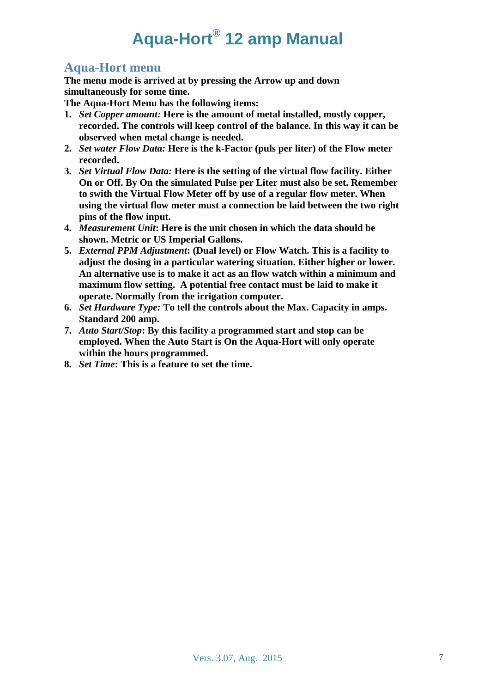### **Aqua-Hort menu**

**The menu mode is arrived at by pressing the Arrow up and down simultaneously for some time.** 

**The Aqua-Hort Menu has the following items:**

- **1.** *Set Copper amount:* **Here is the amount of metal installed, mostly copper, recorded. The controls will keep control of the balance. In this way it can be observed when metal change is needed.**
- **2.** *Set water Flow Data:* **Here is the k-Factor (puls per liter) of the Flow meter recorded.**
- **3.** *Set Virtual Flow Data:* **Here is the setting of the virtual flow facility. Either On or Off. By On the simulated Pulse per Liter must also be set. Remember to swith the Virtual Flow Meter off by use of a regular flow meter. When using the virtual flow meter must a connection be laid between the two right pins of the flow input.**
- **4.** *Measurement Unit***: Here is the unit chosen in which the data should be shown. Metric or US Imperial Gallons.**
- **5.** *External PPM Adjustment***: (Dual level) or Flow Watch. This is a facility to adjust the dosing in a particular watering situation. Either higher or lower. An alternative use is to make it act as an flow watch within a minimum and maximum flow setting. A potential free contact must be laid to make it operate. Normally from the irrigation computer.**
- **6.** *Set Hardware Type:* **To tell the controls about the Max. Capacity in amps. Standard 200 amp.**
- **7.** *Auto Start/Stop***: By this facility a programmed start and stop can be employed. When the Auto Start is On the Aqua-Hort will only operate within the hours programmed.**
- **8.** *Set Time***: This is a feature to set the time.**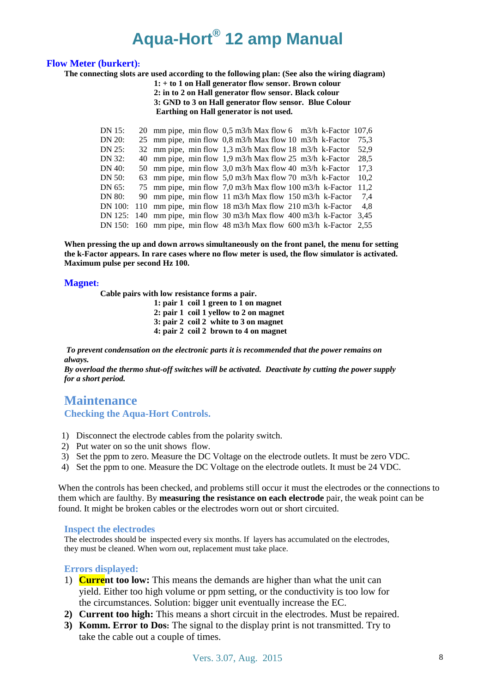#### **Flow Meter (burkert):**

**The connecting slots are used according to the following plan: (See also the wiring diagram)**

**1: + to 1 on Hall generator flow sensor. Brown colour 2: in to 2 on Hall generator flow sensor. Black colour 3: GND to 3 on Hall generator flow sensor. Blue Colour Earthing on Hall generator is not used.**

| DN 15:  |  | 20 mm pipe, min flow $0.5$ m3/h Max flow 6 m3/h k-Factor 107.6          |      |
|---------|--|-------------------------------------------------------------------------|------|
| DN 20:  |  | 25 mm pipe, min flow 0,8 m3/h Max flow 10 m3/h k-Factor                 | 75.3 |
| DN 25:  |  | 32 mm pipe, min flow 1,3 m3/h Max flow 18 m3/h k-Factor                 | 52.9 |
| DN 32:  |  | 40 mm pipe, min flow 1.9 m3/h Max flow 25 m3/h k-Factor                 | 28.5 |
| DN 40:  |  | 50 mm pipe, min flow 3,0 m3/h Max flow 40 m3/h k-Factor                 | 17.3 |
| DN 50:  |  | 63 mm pipe, min flow 5,0 m3/h Max flow 70 m3/h k-Factor                 | 10.2 |
| DN 65:  |  | 75 mm pipe, min flow 7,0 m3/h Max flow 100 m3/h k-Factor                | 11.2 |
| DN 80:  |  | 90 mm pipe, min flow 11 m3/h Max flow 150 m3/h k-Factor                 | 7.4  |
| DN 100: |  | 110 mm pipe, min flow 18 m3/h Max flow 210 m3/h k-Factor                | 4.8  |
|         |  | DN 125: 140 mm pipe, min flow 30 m3/h Max flow 400 m3/h k-Factor        | 3.45 |
|         |  | DN 150: 160 mm pipe, min flow 48 m3/h Max flow 600 m3/h k-Factor $2,55$ |      |

**When pressing the up and down arrows simultaneously on the front panel, the menu for setting the k-Factor appears. In rare cases where no flow meter is used, the flow simulator is activated. Maximum pulse per second Hz 100.**

#### **Magnet:**

**Cable pairs with low resistance forms a pair.**

**1: pair 1 coil 1 green to 1 on magnet 2: pair 1 coil 1 yellow to 2 on magnet 3: pair 2 coil 2 white to 3 on magnet 4: pair 2 coil 2 brown to 4 on magnet**

*To prevent condensation on the electronic parts it is recommended that the power remains on always.* 

*By overload the thermo shut-off switches will be activated. Deactivate by cutting the power supply for a short period.*

### **Maintenance Checking the Aqua-Hort Controls.**

- 1) Disconnect the electrode cables from the polarity switch.
- 2) Put water on so the unit shows flow.
- 3) Set the ppm to zero. Measure the DC Voltage on the electrode outlets. It must be zero VDC.
- 4) Set the ppm to one. Measure the DC Voltage on the electrode outlets. It must be 24 VDC.

When the controls has been checked, and problems still occur it must the electrodes or the connections to them which are faulthy. By **measuring the resistance on each electrode** pair, the weak point can be found. It might be broken cables or the electrodes worn out or short circuited.

#### **Inspect the electrodes**

The electrodes should be inspected every six months. If layers has accumulated on the electrodes, they must be cleaned. When worn out, replacement must take place.

#### **Errors displayed:**

- 1) **Current too low:** This means the demands are higher than what the unit can yield. Either too high volume or ppm setting, or the conductivity is too low for the circumstances. Solution: bigger unit eventually increase the EC.
- **2) Current too high:** This means a short circuit in the electrodes. Must be repaired.
- **3) Komm. Error to Dos:** The signal to the display print is not transmitted. Try to take the cable out a couple of times.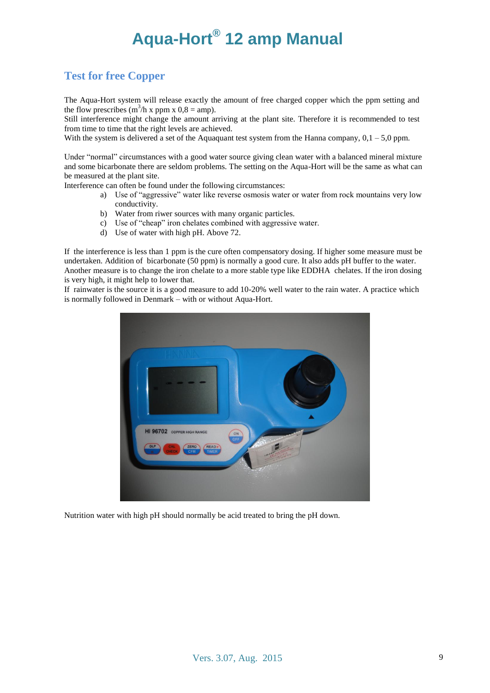### **Test for free Copper**

The Aqua-Hort system will release exactly the amount of free charged copper which the ppm setting and the flow prescribes  $(m^3/h x$  ppm  $x$  0,8 = amp).

Still interference might change the amount arriving at the plant site. Therefore it is recommended to test from time to time that the right levels are achieved.

With the system is delivered a set of the Aquaquant test system from the Hanna company,  $0, 1 - 5, 0$  ppm.

Under "normal" circumstances with a good water source giving clean water with a balanced mineral mixture and some bicarbonate there are seldom problems. The setting on the Aqua-Hort will be the same as what can be measured at the plant site.

Interference can often be found under the following circumstances:

- a) Use of "aggressive" water like reverse osmosis water or water from rock mountains very low conductivity.
- b) Water from riwer sources with many organic particles.
- c) Use of "cheap" iron chelates combined with aggressive water.
- d) Use of water with high pH. Above 72.

If the interference is less than 1 ppm is the cure often compensatory dosing. If higher some measure must be undertaken. Addition of bicarbonate (50 ppm) is normally a good cure. It also adds pH buffer to the water. Another measure is to change the iron chelate to a more stable type like EDDHA chelates. If the iron dosing is very high, it might help to lower that.

If rainwater is the source it is a good measure to add 10-20% well water to the rain water. A practice which is normally followed in Denmark – with or without Aqua-Hort.



Nutrition water with high pH should normally be acid treated to bring the pH down.